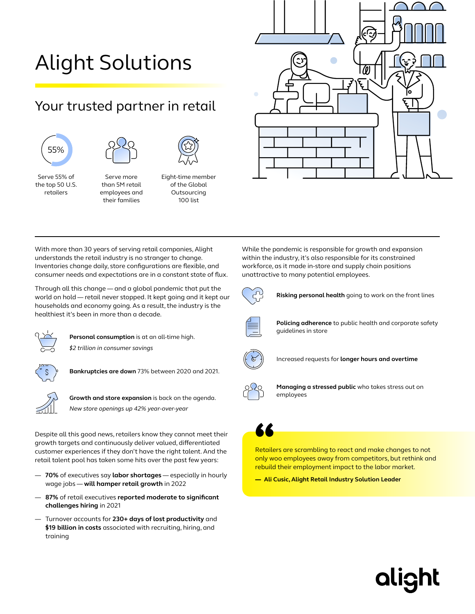# Alight Solutions

## Your trusted partner in retail





Serve 55% of the top 50 U.S. retailers

Serve more than 5M retail

employees and their families



With more than 30 years of serving retail companies, Alight understands the retail industry is no stranger to change. Inventories change daily, store configurations are flexible, and consumer needs and expectations are in a constant state of flux.

Through all this change — and a global pandemic that put the world on hold — retail never stopped. It kept going and it kept our households and economy going. As a result, the industry is the healthiest it's been in more than a decade.



**Personal consumption** is at an all-time high.

*\$2 trillion in consumer savings*



**Bankruptcies are down** 73% between 2020 and 2021.



**Growth and store expansion** is back on the agenda. *New store openings up 42% year-over-year*

Despite all this good news, retailers know they cannot meet their growth targets and continuously deliver valued, differentiated customer experiences if they don't have the right talent. And the retail talent pool has taken some hits over the past few years:

- **70%** of executives say **labor shortages** especially in hourly wage jobs — **will hamper retail growth** in 2022
- **87%** of retail executives **reported moderate to significant challenges hiring** in 2021
- Turnover accounts for **230+ days of lost productivity** and **\$19 billion in costs** associated with recruiting, hiring, and training



While the pandemic is responsible for growth and expansion within the industry, it's also responsible for its constrained workforce, as it made in-store and supply chain positions unattractive to many potential employees.



**Risking personal health** going to work on the front lines



**Policing adherence** to public health and corporate safety guidelines in store



Increased requests for **longer hours and overtime**



**Managing a stressed public** who takes stress out on employees



**6 6**<br>Retailers are scrambling to react and make changes to not<br>only woo employees away from competitors but rethink an only woo employees away from competitors, but rethink and rebuild their employment impact to the labor market.

**alight** 

— **Ali Cusic, Alight Retail Industry Solution Leader**